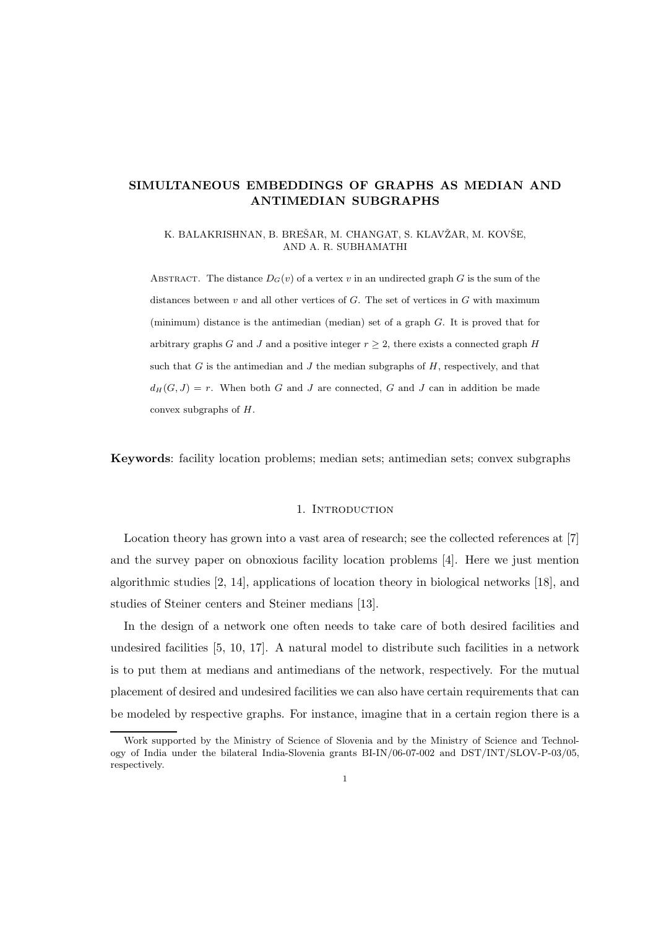# SIMULTANEOUS EMBEDDINGS OF GRAPHS AS MEDIAN AND ANTIMEDIAN SUBGRAPHS

K. BALAKRISHNAN, B. BREŠAR, M. CHANGAT, S. KLAVŽAR, M. KOVŠE, AND A. R. SUBHAMATHI

ABSTRACT. The distance  $D_G(v)$  of a vertex v in an undirected graph G is the sum of the distances between  $v$  and all other vertices of  $G$ . The set of vertices in  $G$  with maximum (minimum) distance is the antimedian (median) set of a graph G. It is proved that for arbitrary graphs G and J and a positive integer  $r \geq 2$ , there exists a connected graph H such that  $G$  is the antimedian and  $J$  the median subgraphs of  $H$ , respectively, and that  $d_H(G, J) = r$ . When both G and J are connected, G and J can in addition be made convex subgraphs of H.

Keywords: facility location problems; median sets; antimedian sets; convex subgraphs

#### 1. INTRODUCTION

Location theory has grown into a vast area of research; see the collected references at [7] and the survey paper on obnoxious facility location problems [4]. Here we just mention algorithmic studies [2, 14], applications of location theory in biological networks [18], and studies of Steiner centers and Steiner medians [13].

In the design of a network one often needs to take care of both desired facilities and undesired facilities [5, 10, 17]. A natural model to distribute such facilities in a network is to put them at medians and antimedians of the network, respectively. For the mutual placement of desired and undesired facilities we can also have certain requirements that can be modeled by respective graphs. For instance, imagine that in a certain region there is a

Work supported by the Ministry of Science of Slovenia and by the Ministry of Science and Technology of India under the bilateral India-Slovenia grants BI-IN/06-07-002 and DST/INT/SLOV-P-03/05, respectively.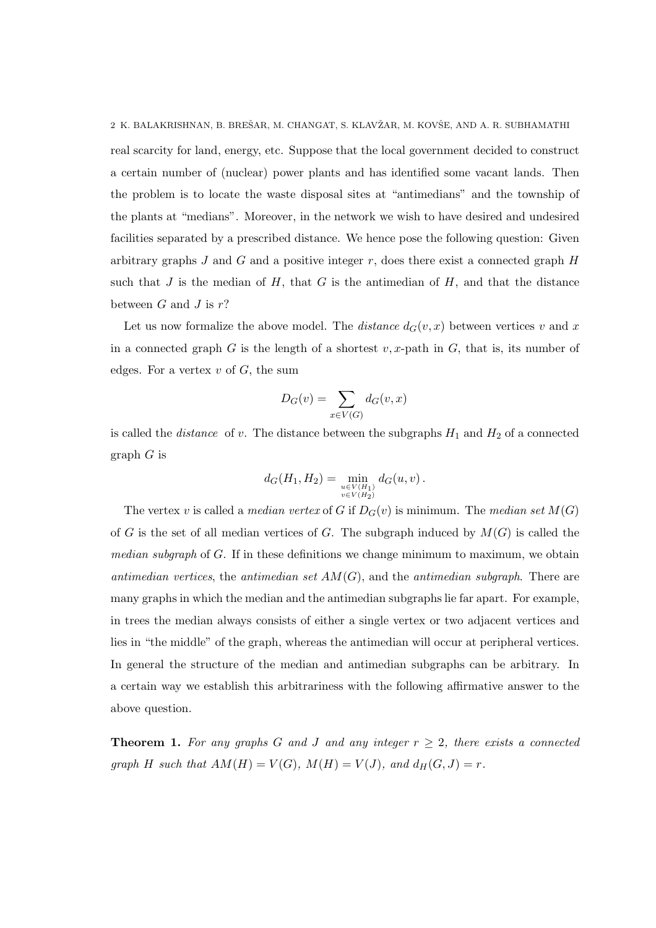2 K. BALAKRISHNAN, B. BREŠAR, M. CHANGAT, S. KLAVŽAR, M. KOVŠE, AND A. R. SUBHAMATHI real scarcity for land, energy, etc. Suppose that the local government decided to construct a certain number of (nuclear) power plants and has identified some vacant lands. Then the problem is to locate the waste disposal sites at "antimedians" and the township of the plants at "medians". Moreover, in the network we wish to have desired and undesired facilities separated by a prescribed distance. We hence pose the following question: Given arbitrary graphs  $J$  and  $G$  and a positive integer  $r$ , does there exist a connected graph  $H$ such that  $J$  is the median of  $H$ , that  $G$  is the antimedian of  $H$ , and that the distance between  $G$  and  $J$  is  $r$ ?

Let us now formalize the above model. The *distance*  $d_G(v, x)$  between vertices v and x in a connected graph G is the length of a shortest  $v, x$ -path in G, that is, its number of edges. For a vertex  $v$  of  $G$ , the sum

$$
D_G(v) = \sum_{x \in V(G)} d_G(v, x)
$$

is called the *distance* of v. The distance between the subgraphs  $H_1$  and  $H_2$  of a connected  $graph G$  is

$$
d_G(H_1, H_2) = \min_{\substack{u \in V(H_1) \\ v \in V(H_2)}} d_G(u, v) .
$$

The vertex v is called a median vertex of G if  $D_G(v)$  is minimum. The median set  $M(G)$ of G is the set of all median vertices of G. The subgraph induced by  $M(G)$  is called the *median subgraph* of  $G$ . If in these definitions we change minimum to maximum, we obtain antimedian vertices, the antimedian set  $AM(G)$ , and the antimedian subgraph. There are many graphs in which the median and the antimedian subgraphs lie far apart. For example, in trees the median always consists of either a single vertex or two adjacent vertices and lies in "the middle" of the graph, whereas the antimedian will occur at peripheral vertices. In general the structure of the median and antimedian subgraphs can be arbitrary. In a certain way we establish this arbitrariness with the following affirmative answer to the above question.

**Theorem 1.** For any graphs G and J and any integer  $r \geq 2$ , there exists a connected graph H such that  $AM(H) = V(G)$ ,  $M(H) = V(J)$ , and  $d_H(G, J) = r$ .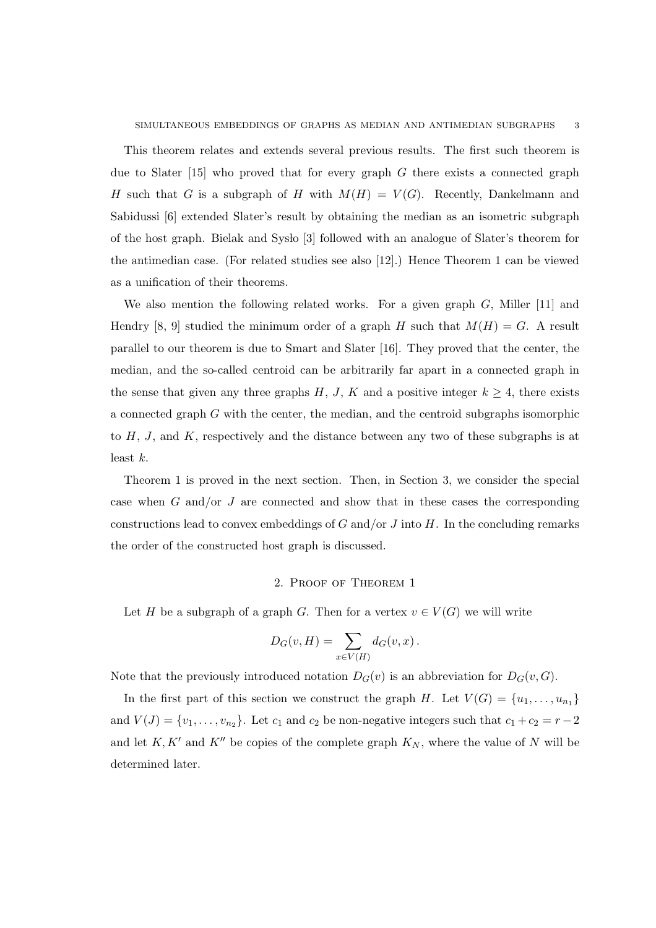This theorem relates and extends several previous results. The first such theorem is due to Slater  $[15]$  who proved that for every graph G there exists a connected graph H such that G is a subgraph of H with  $M(H) = V(G)$ . Recently, Dankelmann and Sabidussi [6] extended Slater's result by obtaining the median as an isometric subgraph of the host graph. Bielak and Syslo [3] followed with an analogue of Slater's theorem for the antimedian case. (For related studies see also [12].) Hence Theorem 1 can be viewed as a unification of their theorems.

We also mention the following related works. For a given graph  $G$ , Miller [11] and Hendry [8, 9] studied the minimum order of a graph H such that  $M(H) = G$ . A result parallel to our theorem is due to Smart and Slater [16]. They proved that the center, the median, and the so-called centroid can be arbitrarily far apart in a connected graph in the sense that given any three graphs H, J, K and a positive integer  $k \geq 4$ , there exists a connected graph G with the center, the median, and the centroid subgraphs isomorphic to  $H$ ,  $J$ , and  $K$ , respectively and the distance between any two of these subgraphs is at least  $k$ .

Theorem 1 is proved in the next section. Then, in Section 3, we consider the special case when G and/or J are connected and show that in these cases the corresponding constructions lead to convex embeddings of  $G$  and/or  $J$  into  $H$ . In the concluding remarks the order of the constructed host graph is discussed.

### 2. Proof of Theorem 1

Let H be a subgraph of a graph G. Then for a vertex  $v \in V(G)$  we will write

$$
D_G(v, H) = \sum_{x \in V(H)} d_G(v, x).
$$

Note that the previously introduced notation  $D_G(v)$  is an abbreviation for  $D_G(v, G)$ .

In the first part of this section we construct the graph H. Let  $V(G) = \{u_1, \ldots, u_{n_1}\}\$ and  $V(J) = \{v_1, \ldots, v_{n_2}\}.$  Let  $c_1$  and  $c_2$  be non-negative integers such that  $c_1 + c_2 = r - 2$ and let  $K, K'$  and  $K''$  be copies of the complete graph  $K_N$ , where the value of N will be determined later.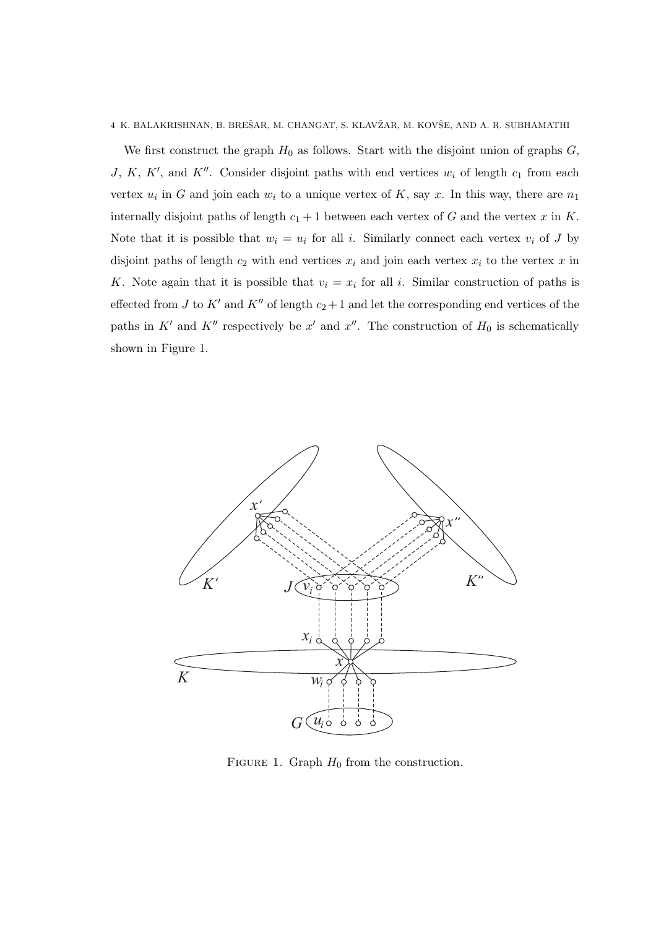We first construct the graph  $H_0$  as follows. Start with the disjoint union of graphs  $G$ , J, K, K', and K''. Consider disjoint paths with end vertices  $w_i$  of length  $c_1$  from each vertex  $u_i$  in G and join each  $w_i$  to a unique vertex of K, say x. In this way, there are  $n_1$ internally disjoint paths of length  $c_1 + 1$  between each vertex of G and the vertex x in K. Note that it is possible that  $w_i = u_i$  for all i. Similarly connect each vertex  $v_i$  of J by disjoint paths of length  $c_2$  with end vertices  $x_i$  and join each vertex  $x_i$  to the vertex x in K. Note again that it is possible that  $v_i = x_i$  for all i. Similar construction of paths is effected from J to K' and K'' of length  $c_2 + 1$  and let the corresponding end vertices of the paths in  $K'$  and  $K''$  respectively be x' and x''. The construction of  $H_0$  is schematically shown in Figure 1.



FIGURE 1. Graph  $H_0$  from the construction.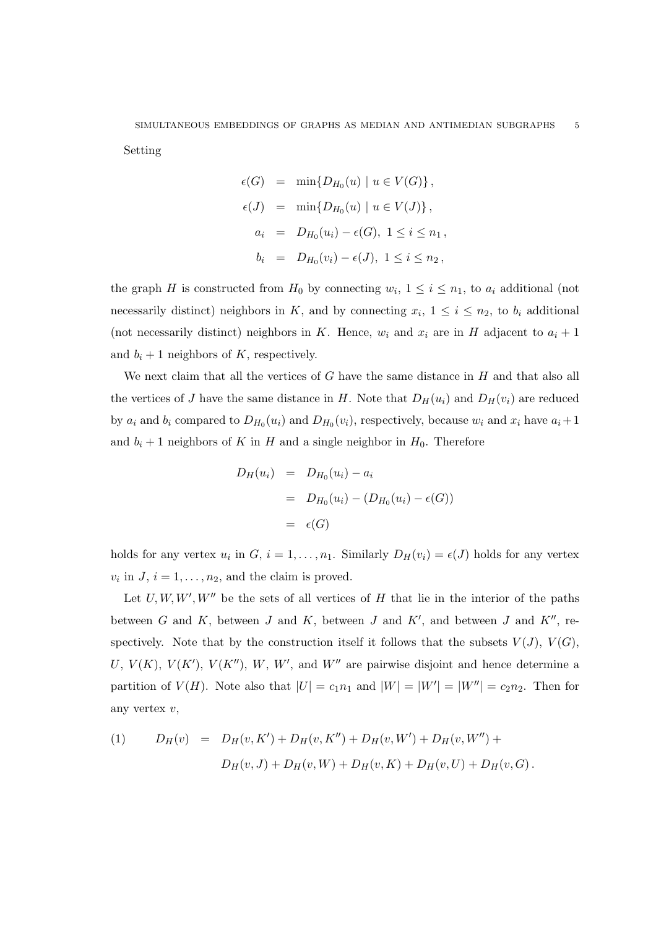Setting

$$
\epsilon(G) = \min\{D_{H_0}(u) \mid u \in V(G)\},
$$
  
\n
$$
\epsilon(J) = \min\{D_{H_0}(u) \mid u \in V(J)\},
$$
  
\n
$$
a_i = D_{H_0}(u_i) - \epsilon(G), \ 1 \le i \le n_1,
$$
  
\n
$$
b_i = D_{H_0}(v_i) - \epsilon(J), \ 1 \le i \le n_2,
$$

the graph H is constructed from  $H_0$  by connecting  $w_i$ ,  $1 \leq i \leq n_1$ , to  $a_i$  additional (not necessarily distinct) neighbors in K, and by connecting  $x_i$ ,  $1 \leq i \leq n_2$ , to  $b_i$  additional (not necessarily distinct) neighbors in K. Hence,  $w_i$  and  $x_i$  are in H adjacent to  $a_i + 1$ and  $b_i + 1$  neighbors of K, respectively.

We next claim that all the vertices of  $G$  have the same distance in  $H$  and that also all the vertices of J have the same distance in H. Note that  $D_H(u_i)$  and  $D_H(v_i)$  are reduced by  $a_i$  and  $b_i$  compared to  $D_{H_0}(u_i)$  and  $D_{H_0}(v_i)$ , respectively, because  $w_i$  and  $x_i$  have  $a_i+1$ and  $b_i + 1$  neighbors of K in H and a single neighbor in  $H_0$ . Therefore

$$
D_H(u_i) = D_{H_0}(u_i) - a_i
$$
  
= 
$$
D_{H_0}(u_i) - (D_{H_0}(u_i) - \epsilon(G))
$$
  
= 
$$
\epsilon(G)
$$

holds for any vertex  $u_i$  in  $G, i = 1, ..., n_1$ . Similarly  $D_H(v_i) = \epsilon(J)$  holds for any vertex  $v_i$  in  $J, i = 1, \ldots, n_2$ , and the claim is proved.

Let  $U, W, W', W''$  be the sets of all vertices of H that lie in the interior of the paths between  $G$  and  $K$ , between  $J$  and  $K$ , between  $J$  and  $K'$ , and between  $J$  and  $K''$ , respectively. Note that by the construction itself it follows that the subsets  $V(J)$ ,  $V(G)$ , U,  $V(K)$ ,  $V(K')$ ,  $V(K'')$ ,  $W$ ,  $W'$ , and  $W''$  are pairwise disjoint and hence determine a partition of  $V(H)$ . Note also that  $|U| = c_1 n_1$  and  $|W| = |W'| = |W''| = c_2 n_2$ . Then for any vertex v,

(1) 
$$
D_H(v) = D_H(v, K') + D_H(v, K'') + D_H(v, W') + D_H(v, W'') +
$$

$$
D_H(v, J) + D_H(v, W) + D_H(v, K) + D_H(v, U) + D_H(v, G).
$$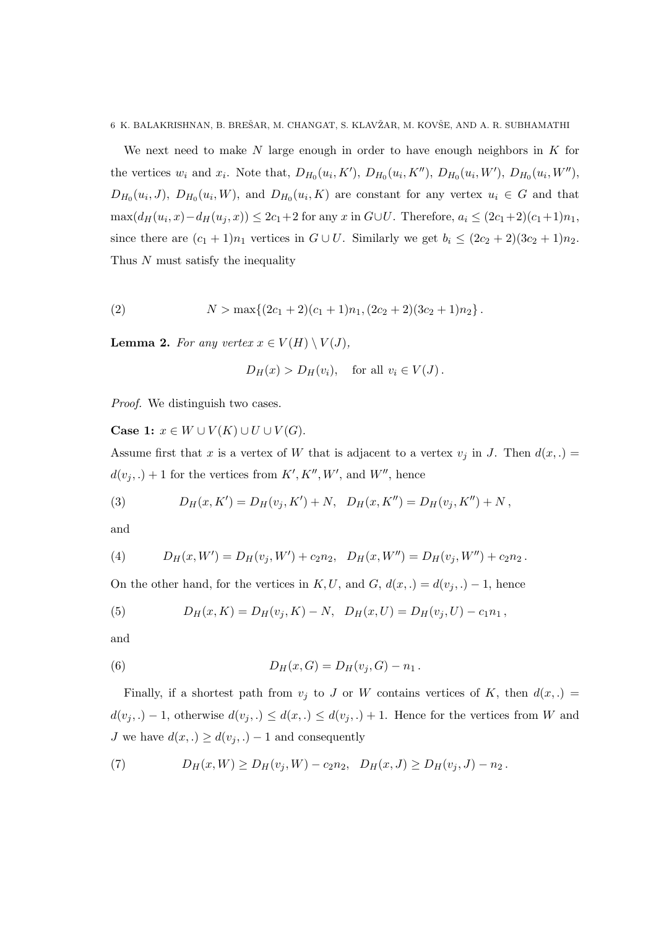We next need to make  $N$  large enough in order to have enough neighbors in  $K$  for the vertices  $w_i$  and  $x_i$ . Note that,  $D_{H_0}(u_i, K')$ ,  $D_{H_0}(u_i, K'')$ ,  $D_{H_0}(u_i, W')$ ,  $D_{H_0}(u_i, W'')$ ,  $D_{H_0}(u_i, J)$ ,  $D_{H_0}(u_i, W)$ , and  $D_{H_0}(u_i, K)$  are constant for any vertex  $u_i \in G$  and that  $\max(d_H(u_i, x) - d_H(u_j, x)) \leq 2c_1 + 2$  for any x in  $G \cup U$ . Therefore,  $a_i \leq (2c_1 + 2)(c_1 + 1)n_1$ , since there are  $(c_1 + 1)n_1$  vertices in  $G \cup U$ . Similarly we get  $b_i \leq (2c_2 + 2)(3c_2 + 1)n_2$ . Thus N must satisfy the inequality

(2) 
$$
N > \max\{(2c_1+2)(c_1+1)n_1, (2c_2+2)(3c_2+1)n_2\}.
$$

**Lemma 2.** For any vertex  $x \in V(H) \setminus V(J)$ ,

$$
D_H(x) > D_H(v_i)
$$
, for all  $v_i \in V(J)$ .

Proof. We distinguish two cases.

Case 1:  $x \in W \cup V(K) \cup U \cup V(G)$ .

Assume first that x is a vertex of W that is adjacent to a vertex  $v_j$  in J. Then  $d(x,.)$  =  $d(v_j,.) + 1$  for the vertices from  $K', K'', W'$ , and  $W''$ , hence

(3) 
$$
D_H(x, K') = D_H(v_j, K') + N, \quad D_H(x, K'') = D_H(v_j, K'') + N,
$$

and

(4) 
$$
D_H(x, W') = D_H(v_j, W') + c_2 n_2, \quad D_H(x, W'') = D_H(v_j, W'') + c_2 n_2.
$$

On the other hand, for the vertices in K, U, and G,  $d(x,.) = d(v_i,.) - 1$ , hence

(5) 
$$
D_H(x,K) = D_H(v_j,K) - N, \quad D_H(x,U) = D_H(v_j,U) - c_1 n_1,
$$

and

(6) 
$$
D_H(x, G) = D_H(v_j, G) - n_1.
$$

Finally, if a shortest path from  $v_j$  to J or W contains vertices of K, then  $d(x,.)$  $d(v_j,.) - 1$ , otherwise  $d(v_j,.) \leq d(x,.) \leq d(v_j,.) + 1$ . Hence for the vertices from W and *J* we have  $d(x,.) \geq d(v_j,.) - 1$  and consequently

(7) 
$$
D_H(x,W) \ge D_H(v_j,W) - c_2n_2, \quad D_H(x,J) \ge D_H(v_j,J) - n_2.
$$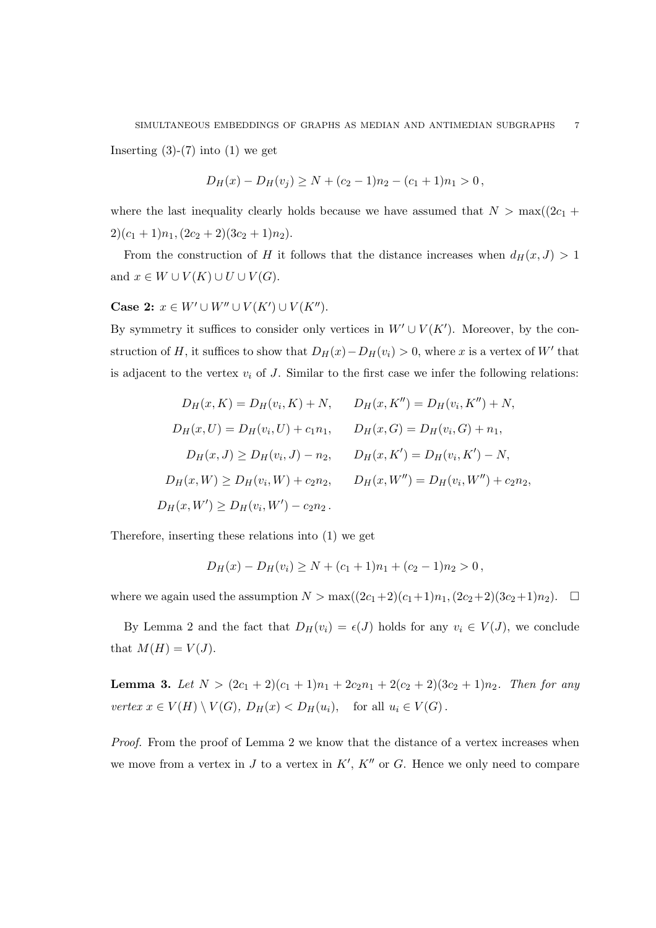Inserting  $(3)-(7)$  into  $(1)$  we get

$$
D_H(x) - D_H(v_j) \ge N + (c_2 - 1)n_2 - (c_1 + 1)n_1 > 0,
$$

where the last inequality clearly holds because we have assumed that  $N > \max((2c_1 +$  $2)(c_1+1)n_1,(2c_2+2)(3c_2+1)n_2).$ 

From the construction of H it follows that the distance increases when  $d_H(x, J) > 1$ and  $x \in W \cup V(K) \cup U \cup V(G)$ .

Case 2:  $x \in W' \cup W'' \cup V(K') \cup V(K'')$ .

By symmetry it suffices to consider only vertices in  $W' \cup V(K')$ . Moreover, by the construction of H, it suffices to show that  $D_H(x) - D_H(v_i) > 0$ , where x is a vertex of W' that is adjacent to the vertex  $v_i$  of J. Similar to the first case we infer the following relations:

$$
D_H(x, K) = D_H(v_i, K) + N, \qquad D_H(x, K'') = D_H(v_i, K'') + N,
$$
  
\n
$$
D_H(x, U) = D_H(v_i, U) + c_1 n_1, \qquad D_H(x, G) = D_H(v_i, G) + n_1,
$$
  
\n
$$
D_H(x, J) \ge D_H(v_i, J) - n_2, \qquad D_H(x, K') = D_H(v_i, K') - N,
$$
  
\n
$$
D_H(x, W') \ge D_H(v_i, W) + c_2 n_2, \qquad D_H(x, W'') = D_H(v_i, W'') + c_2 n_2,
$$
  
\n
$$
D_H(x, W') \ge D_H(v_i, W') - c_2 n_2.
$$

Therefore, inserting these relations into (1) we get

$$
D_H(x) - D_H(v_i) \ge N + (c_1 + 1)n_1 + (c_2 - 1)n_2 > 0,
$$

where we again used the assumption  $N > \max((2c_1+2)(c_1+1)n_1,(2c_2+2)(3c_2+1)n_2)$ .  $\Box$ 

By Lemma 2 and the fact that  $D_H(v_i) = \epsilon(J)$  holds for any  $v_i \in V(J)$ , we conclude that  $M(H) = V(J)$ .

**Lemma 3.** Let  $N > (2c_1 + 2)(c_1 + 1)n_1 + 2c_2n_1 + 2(c_2 + 2)(3c_2 + 1)n_2$ . Then for any vertex  $x \in V(H) \setminus V(G)$ ,  $D_H(x) < D_H(u_i)$ , for all  $u_i \in V(G)$ .

Proof. From the proof of Lemma 2 we know that the distance of a vertex increases when we move from a vertex in  $J$  to a vertex in  $K'$ ,  $K''$  or  $G$ . Hence we only need to compare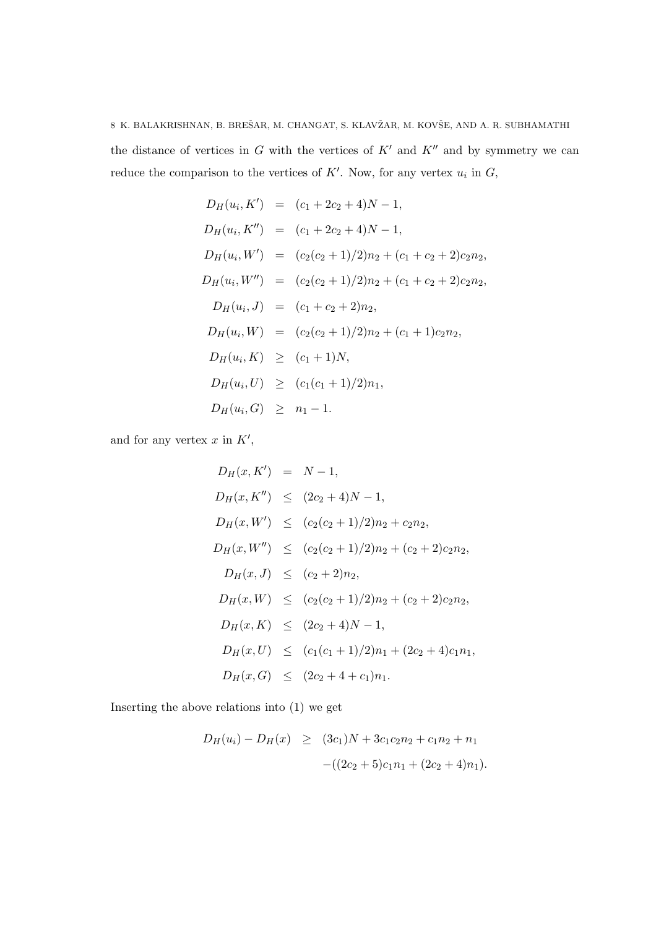the distance of vertices in  $G$  with the vertices of  $K'$  and  $K''$  and by symmetry we can reduce the comparison to the vertices of  $K'$ . Now, for any vertex  $u_i$  in  $G$ ,

$$
D_H(u_i, K') = (c_1 + 2c_2 + 4)N - 1,
$$
  
\n
$$
D_H(u_i, K'') = (c_1 + 2c_2 + 4)N - 1,
$$
  
\n
$$
D_H(u_i, W') = (c_2(c_2 + 1)/2)n_2 + (c_1 + c_2 + 2)c_2n_2,
$$
  
\n
$$
D_H(u_i, W'') = (c_2(c_2 + 1)/2)n_2 + (c_1 + c_2 + 2)c_2n_2,
$$
  
\n
$$
D_H(u_i, J) = (c_1 + c_2 + 2)n_2,
$$
  
\n
$$
D_H(u_i, W) = (c_2(c_2 + 1)/2)n_2 + (c_1 + 1)c_2n_2,
$$
  
\n
$$
D_H(u_i, K) \ge (c_1 + 1)N,
$$
  
\n
$$
D_H(u_i, U) \ge (c_1(c_1 + 1)/2)n_1,
$$
  
\n
$$
D_H(u_i, G) \ge n_1 - 1.
$$

and for any vertex  $x$  in  $K'$ ,

$$
D_H(x, K') = N - 1,
$$
  
\n
$$
D_H(x, K'') \le (2c_2 + 4)N - 1,
$$
  
\n
$$
D_H(x, W') \le (c_2(c_2 + 1)/2)n_2 + c_2n_2,
$$
  
\n
$$
D_H(x, W'') \le (c_2(c_2 + 1)/2)n_2 + (c_2 + 2)c_2n_2,
$$
  
\n
$$
D_H(x, J) \le (c_2 + 2)n_2,
$$
  
\n
$$
D_H(x, W) \le (c_2(c_2 + 1)/2)n_2 + (c_2 + 2)c_2n_2,
$$
  
\n
$$
D_H(x, K) \le (2c_2 + 4)N - 1,
$$
  
\n
$$
D_H(x, U) \le (c_1(c_1 + 1)/2)n_1 + (2c_2 + 4)c_1n_1,
$$
  
\n
$$
D_H(x, G) \le (2c_2 + 4 + c_1)n_1.
$$

Inserting the above relations into (1) we get

$$
D_H(u_i) - D_H(x) \geq (3c_1)N + 3c_1c_2n_2 + c_1n_2 + n_1
$$

$$
-(2c_2 + 5)c_1n_1 + (2c_2 + 4)n_1).
$$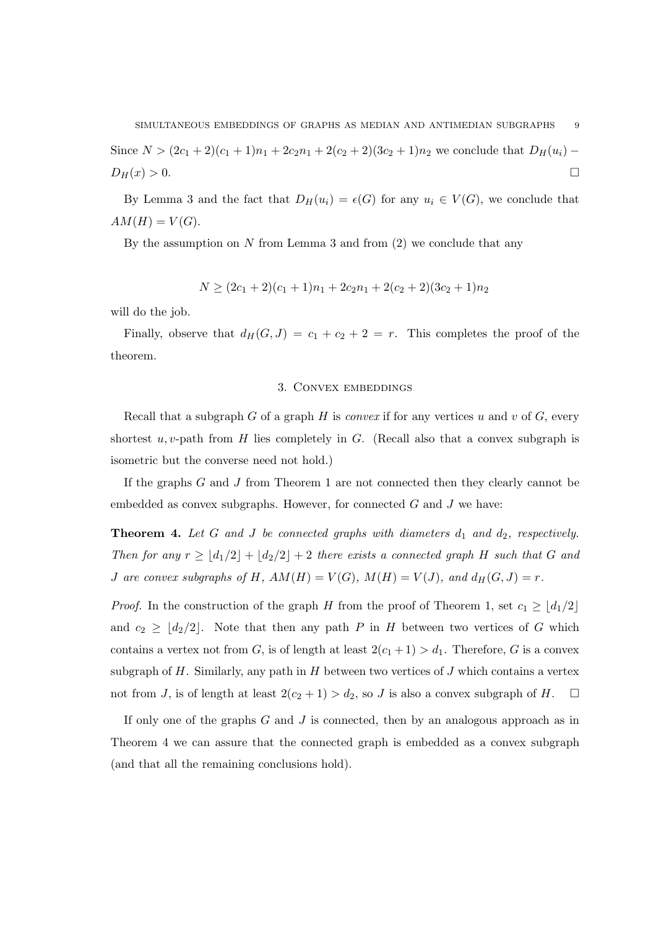Since  $N > (2c_1 + 2)(c_1 + 1)n_1 + 2c_2n_1 + 2(c_2 + 2)(3c_2 + 1)n_2$  we conclude that  $D_H(u_i)$  –  $D_H(x) > 0.$ 

By Lemma 3 and the fact that  $D_H(u_i) = \epsilon(G)$  for any  $u_i \in V(G)$ , we conclude that  $AM(H) = V(G).$ 

By the assumption on  $N$  from Lemma 3 and from  $(2)$  we conclude that any

$$
N \ge (2c_1 + 2)(c_1 + 1)n_1 + 2c_2n_1 + 2(c_2 + 2)(3c_2 + 1)n_2
$$

will do the job.

Finally, observe that  $d_H(G, J) = c_1 + c_2 + 2 = r$ . This completes the proof of the theorem.

## 3. Convex embeddings

Recall that a subgraph G of a graph H is *convex* if for any vertices u and v of G, every shortest  $u, v$ -path from H lies completely in G. (Recall also that a convex subgraph is isometric but the converse need not hold.)

If the graphs G and J from Theorem 1 are not connected then they clearly cannot be embedded as convex subgraphs. However, for connected  $G$  and  $J$  we have:

**Theorem 4.** Let G and J be connected graphs with diameters  $d_1$  and  $d_2$ , respectively. Then for any  $r \geq \lfloor d_1/2 \rfloor + \lfloor d_2/2 \rfloor + 2$  there exists a connected graph H such that G and J are convex subgraphs of H,  $AM(H) = V(G)$ ,  $M(H) = V(J)$ , and  $d_H(G, J) = r$ .

*Proof.* In the construction of the graph H from the proof of Theorem 1, set  $c_1 \geq \lfloor d_1/2 \rfloor$ and  $c_2 \geq \lfloor d_2/2 \rfloor$ . Note that then any path P in H between two vertices of G which contains a vertex not from G, is of length at least  $2(c_1 + 1) > d_1$ . Therefore, G is a convex subgraph of H. Similarly, any path in  $H$  between two vertices of  $J$  which contains a vertex not from J, is of length at least  $2(c_2 + 1) > d_2$ , so J is also a convex subgraph of H.  $\Box$ 

If only one of the graphs G and J is connected, then by an analogous approach as in Theorem 4 we can assure that the connected graph is embedded as a convex subgraph (and that all the remaining conclusions hold).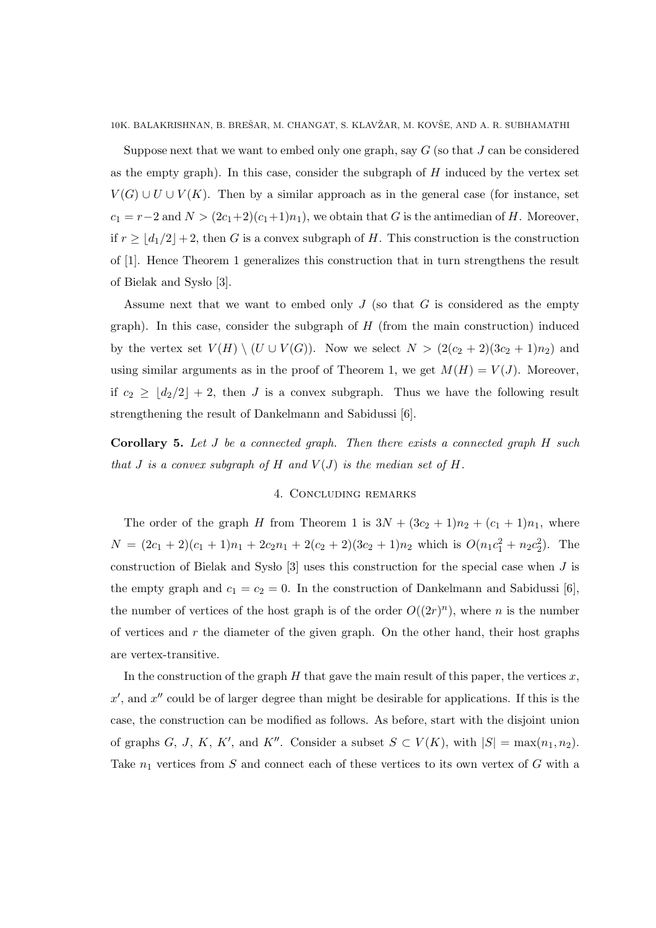Suppose next that we want to embed only one graph, say  $G$  (so that  $J$  can be considered as the empty graph). In this case, consider the subgraph of  $H$  induced by the vertex set  $V(G) \cup U \cup V(K)$ . Then by a similar approach as in the general case (for instance, set  $c_1 = r-2$  and  $N > (2c_1+2)(c_1+1)n_1$ , we obtain that G is the antimedian of H. Moreover, if  $r \geq \lfloor d_1/2 \rfloor + 2$ , then G is a convex subgraph of H. This construction is the construction of [1]. Hence Theorem 1 generalizes this construction that in turn strengthens the result of Bielak and Syslo [3].

Assume next that we want to embed only  $J$  (so that  $G$  is considered as the empty graph). In this case, consider the subgraph of  $H$  (from the main construction) induced by the vertex set  $V(H) \setminus (U \cup V(G))$ . Now we select  $N > (2(c_2 + 2)(3c_2 + 1)n_2)$  and using similar arguments as in the proof of Theorem 1, we get  $M(H) = V(J)$ . Moreover, if  $c_2 \geq \lfloor d_2/2 \rfloor + 2$ , then J is a convex subgraph. Thus we have the following result strengthening the result of Dankelmann and Sabidussi [6].

Corollary 5. Let J be a connected graph. Then there exists a connected graph H such that J is a convex subgraph of H and  $V(J)$  is the median set of H.

## 4. Concluding remarks

The order of the graph H from Theorem 1 is  $3N + (3c_2 + 1)n_2 + (c_1 + 1)n_1$ , where  $N = (2c_1 + 2)(c_1 + 1)n_1 + 2c_2n_1 + 2(c_2 + 2)(3c_2 + 1)n_2$  which is  $O(n_1c_1^2 + n_2c_2^2)$ . The construction of Bielak and Systo [3] uses this construction for the special case when  $J$  is the empty graph and  $c_1 = c_2 = 0$ . In the construction of Dankelmann and Sabidussi [6], the number of vertices of the host graph is of the order  $O((2r)^n)$ , where n is the number of vertices and  $r$  the diameter of the given graph. On the other hand, their host graphs are vertex-transitive.

In the construction of the graph  $H$  that gave the main result of this paper, the vertices  $x$ ,  $x'$ , and  $x''$  could be of larger degree than might be desirable for applications. If this is the case, the construction can be modified as follows. As before, start with the disjoint union of graphs G, J, K, K', and K''. Consider a subset  $S \subset V(K)$ , with  $|S| = \max(n_1, n_2)$ . Take  $n_1$  vertices from S and connect each of these vertices to its own vertex of G with a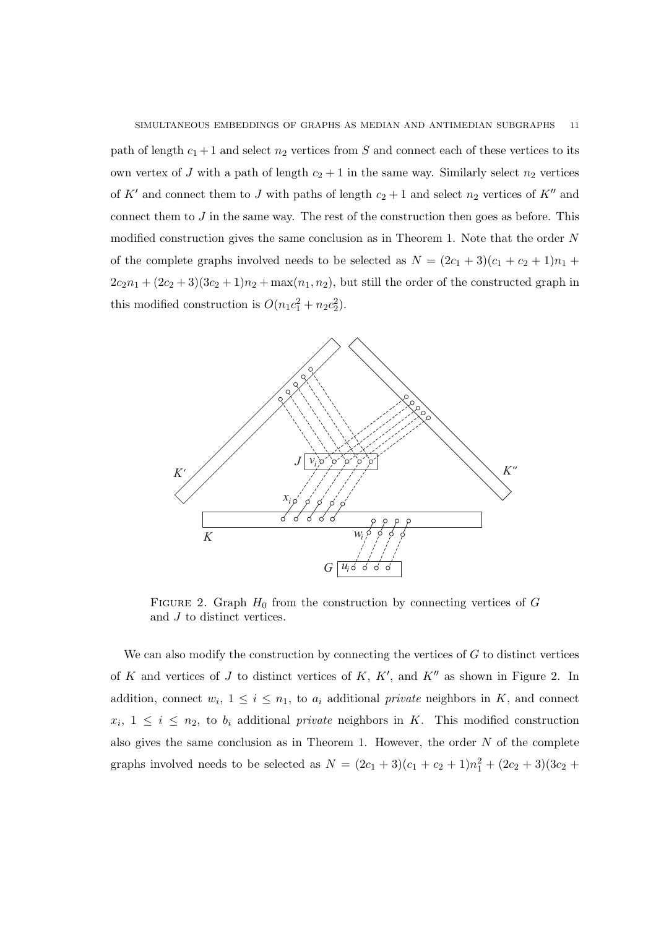path of length  $c_1 + 1$  and select  $n_2$  vertices from S and connect each of these vertices to its own vertex of J with a path of length  $c_2 + 1$  in the same way. Similarly select  $n_2$  vertices of K' and connect them to J with paths of length  $c_2 + 1$  and select  $n_2$  vertices of K'' and connect them to  $J$  in the same way. The rest of the construction then goes as before. This modified construction gives the same conclusion as in Theorem 1. Note that the order N of the complete graphs involved needs to be selected as  $N = (2c_1 + 3)(c_1 + c_2 + 1)n_1 +$  $2c_2n_1 + (2c_2 + 3)(3c_2 + 1)n_2 + \max(n_1, n_2)$ , but still the order of the constructed graph in this modified construction is  $O(n_1c_1^2 + n_2c_2^2)$ .



FIGURE 2. Graph  $H_0$  from the construction by connecting vertices of G and J to distinct vertices.

We can also modify the construction by connecting the vertices of  $G$  to distinct vertices of K and vertices of J to distinct vertices of K,  $K'$ , and  $K''$  as shown in Figure 2. In addition, connect  $w_i$ ,  $1 \leq i \leq n_1$ , to  $a_i$  additional private neighbors in K, and connect  $x_i, 1 \leq i \leq n_2$ , to  $b_i$  additional private neighbors in K. This modified construction also gives the same conclusion as in Theorem 1. However, the order  $N$  of the complete graphs involved needs to be selected as  $N = (2c_1 + 3)(c_1 + c_2 + 1)n_1^2 + (2c_2 + 3)(3c_2 +$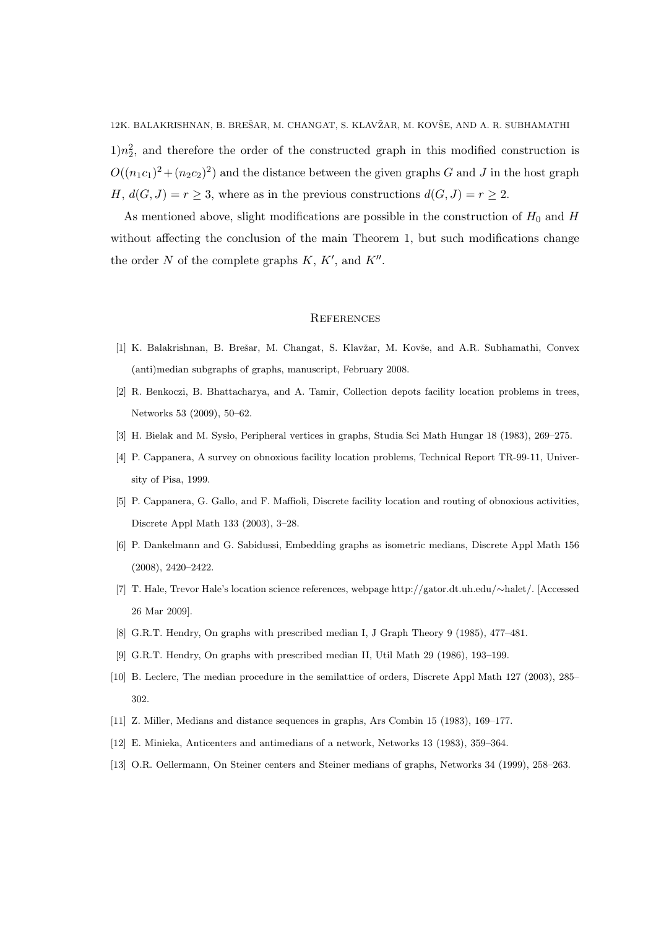$1/n<sub>2</sub><sup>2</sup>$ , and therefore the order of the constructed graph in this modified construction is  $O((n_1c_1)^2 + (n_2c_2)^2)$  and the distance between the given graphs G and J in the host graph H,  $d(G, J) = r \geq 3$ , where as in the previous constructions  $d(G, J) = r \geq 2$ .

As mentioned above, slight modifications are possible in the construction of  $H_0$  and  $H$ without affecting the conclusion of the main Theorem 1, but such modifications change the order N of the complete graphs  $K, K'$ , and  $K''$ .

#### **REFERENCES**

- [1] K. Balakrishnan, B. Brešar, M. Changat, S. Klavžar, M. Kovše, and A.R. Subhamathi, Convex (anti)median subgraphs of graphs, manuscript, February 2008.
- [2] R. Benkoczi, B. Bhattacharya, and A. Tamir, Collection depots facility location problems in trees, Networks 53 (2009), 50–62.
- [3] H. Bielak and M. Syslo, Peripheral vertices in graphs, Studia Sci Math Hungar 18 (1983), 269–275.
- [4] P. Cappanera, A survey on obnoxious facility location problems, Technical Report TR-99-11, University of Pisa, 1999.
- [5] P. Cappanera, G. Gallo, and F. Maffioli, Discrete facility location and routing of obnoxious activities, Discrete Appl Math 133 (2003), 3–28.
- [6] P. Dankelmann and G. Sabidussi, Embedding graphs as isometric medians, Discrete Appl Math 156 (2008), 2420–2422.
- [7] T. Hale, Trevor Hale's location science references, webpage http://gator.dt.uh.edu/∼halet/. [Accessed 26 Mar 2009].
- [8] G.R.T. Hendry, On graphs with prescribed median I, J Graph Theory 9 (1985), 477–481.
- [9] G.R.T. Hendry, On graphs with prescribed median II, Util Math 29 (1986), 193–199.
- [10] B. Leclerc, The median procedure in the semilattice of orders, Discrete Appl Math 127 (2003), 285– 302.
- [11] Z. Miller, Medians and distance sequences in graphs, Ars Combin 15 (1983), 169–177.
- [12] E. Minieka, Anticenters and antimedians of a network, Networks 13 (1983), 359–364.
- [13] O.R. Oellermann, On Steiner centers and Steiner medians of graphs, Networks 34 (1999), 258–263.